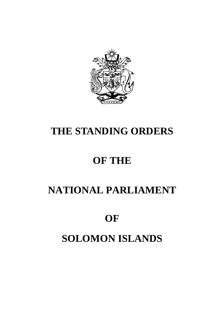# **OF SOLOMON ISLANDS**

# **NATIONAL PARLIAMENT**

# **OF THE**

# **THE STANDING ORDERS**

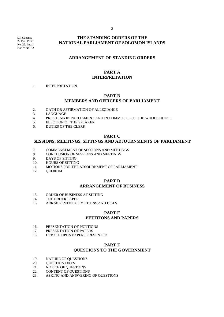S.I. Gazette, 22 Oct. 1982 No. 25, Legal Notice No. 52

# **THE STANDING ORDERS OF THE NATIONAL PARLIAMENT OF SOLOMON ISLANDS**

# **ARRANGEMENT OF STANDING ORDERS**

# **PART A INTERPRETATION**

#### 1. INTERPRETATION

#### **PART B MEMBERS AND OFFICERS OF PARLIAMENT**

- 2. OATH OR AFFIRMATION OF ALLEGIANCE<br>3. LANGUAGE
- **LANGUAGE**
- 4. PRESIDING IN PARLIAMENT AND IN COMMITTEE OF THE WHOLE HOUSE<br>5. ELECTION OF THE SPEAKER
- 5. ELECTION OF THE SPEAKER
- 6. DUTIES OF THE CLERK

#### **PART C**

# **SESSIONS, MEETINGS, SITTINGS AND ADJOURNMENTS OF PARLIAMENT**

- 7. COMMENCEMENT OF SESSIONS AND MEETINGS
- 8. CONCLUSION OF SESSIONS AND MEETINGS
- 9. DAYS OF SITTING
- 10. HOURS OF SITTING
- 11. MOTIONS FOR THE ADJOURNMENT OF PARLIAMENT
- 12. QUORUM

#### **PART D ARRANGEMENT OF BUSINESS**

- 13. ORDER OF BUSINESS AT SITTING
- 14. THE ORDER PAPER
- 15. ARRANGEMENT OF MOTIONS AND BILLS

#### **PART E PETITIONS AND PAPERS**

- 16. PRESENTATION OF PETITIONS<br>17. PRESENTATION OF PAPERS
- 17. PRESENTATION OF PAPERS<br>18. DEBATE UPON PAPERS PRE
- DEBATE UPON PAPERS PRESENTED

# **PART F QUESTIONS TO THE GOVERNMENT**

- 19. NATURE OF QUESTIONS
- 20. QUESTION DAYS
- 21. NOTICE OF QUESTIONS
- 22. CONTENT OF QUESTIONS
- 23. ASKING AND ANSWERING OF QUESTIONS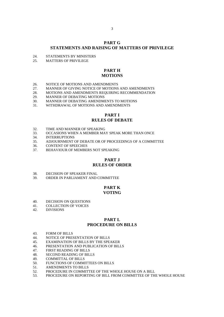#### **PART G STATEMENTS AND RAISING OF MATTERS OF PRIVILEGE**

- 24. STATEMENTS BY MINISTERS<br>25 MATTERS OF PRIVILEGE
- 25. MATTERS OF PRIVILEGE

### **PART H MOTIONS**

- 
- 26. NOTICE OF MOTIONS AND AMENDMENTS<br>27. MANNER OF GIVING NOTICE OF MOTIONS 27. MANNER OF GIVING NOTICE OF MOTIONS AND AMENDMENTS<br>28. MOTIONS AND AMENDMENTS REQUIRING RECOMMENDATION
- MOTIONS AND AMENDMENTS REQUIRING RECOMMENDATION
- 29. MANNER OF DEBATING MOTIONS
- 30. MANNER OF DEBATING AMENDMENTS TO MOTIONS
- 31. WITHDRAWAL OF MOTIONS AND AMENDMENTS

# **PART I RULES OF DEBATE**

- 32. TIME AND MANNER OF SPEAKING
- 33. OCCASIONS WHEN A MEMBER MAY SPEAK MORE THAN ONCE
- 34. INTERRUPTIONS
- 35. ADJOURNMENT OF DEBATE OR OF PROCEEDINGS OF A COMMITTEE
- 36. CONTENT OF SPEECHES
- 37. BEHAVIOUR OF MEMBERS NOT SPEAKING

#### **PART J RULES OF ORDER**

- 38. DECISION OF SPEAKER FINAL<br>39. ORDER IN PARLIAMENT AND O
- ORDER IN PARLIAMENT AND COMMITTEE

# **PART K VOTING**

- 40. DECISION ON QUESTIONS<br>41. COLLECTION OF VOICES
- COLLECTION OF VOICES
- 42. DIVISIONS

#### **PART L PROCEDURE ON BILLS**

- 43. FORM OF BILLS
- 44. NOTICE OF PRESENTATION OF BILLS
- 45. EXAMINATION OF BILLS BY THE SPEAKER
- 46. PRESENTATION AND PUBLICATION OF BILLS
- 47. FIRST READING OF BILLS
- 48. SECOND READING OF BILLS
- 49. COMMITTAL OF BILLS
- 50. FUNCTIONS OF COMMITTEES ON BILLS
- 51. AMENDMENTS TO BILLS
- 52. PROCEDURE IN COMMITTEE OF THE WHOLE HOUSE ON A BILL
- 53. PROCEDURE ON REPORTING OF BILL FROM COMMITTEE OF THE WHOLE HOUSE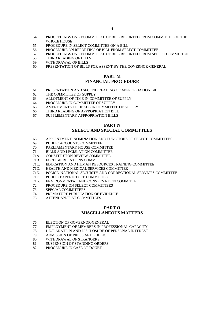- 54. PROCEEDINGS ON RECOMMITTAL OF BILL REPORTED FROM COMMITTEE OF THE WHOLE HOUSE
- 55. PROCEDURE IN SELECT COMMITTEE ON A BILL
- 56. PROCEDURE ON REPORTING OF BILL FROM SELECT COMMITTEE
- 57. PROCEEDINGS ON RECOMMITTAL OF BILL REPORTED FROM SELECT COMMITTEE
- 58. THIRD READING OF BILLS
- 59. WITHDRAWAL OF BILLS
- 60. PRESENTATION OF BILLS FOR ASSENT BY THE GOVERNOR-GENERAL

#### **PART M FINANCIAL PROCEDURE**

- 61. PRESENTATION AND SECOND READING OF APPROPRIATION BILL
- 62. THE COMMITTEE OF SUPPLY
- 63. ALLOTMENT OF TIME IN COMMITTEE OF SUPPLY
- 64. PROCEDURE IN COMMITTEE OF SUPPLY
- 65. AMENDMENTS TO HEADS IN COMMITTEE OF SUPPLY
- 66. THIRD READING OF APPROPRIATION BILL
- 67. SUPPLEMENTARY APPROPRIATION BILLS

# **PART N SELECT AND SPECIAL COMMITTEES**

- 68. APPOINTMENT, NOMINATION AND FUNCTIONS OF SELECT COMMITTEES
- 69. PUBLIC ACCOUNTS COMMITTEE
- 70. PARLIAMENTARY HOUSE COMMITTEE
- 71. BILLS AND LEGISLATION COMMITTEE
- 71A. CONSTITUTION REVIEW COMMITTEE
- 71B. FOREIGN RELATIONS COMMITTEE
- 71C. EDUCATION AND HUMAN RESOURCES TRAINING COMMITTEE 71D. HEALTH AND MEDICAL SERVICES COMMITTEE
- HEALTH AND MEDICAL SERVICES COMMITTEE
- 71E. POLICE, NATIONAL SECURITY AND CORRECTIONAL SERVICES COMMITTEE <br>71E. PUBLIC EXPENDITURE COMMITTEE
- 71F. PUBLIC EXPENDITURE COMMITTEE<br>71G. ENVIRONMENTAL AND CONSERVAT
- 71G. ENVIRONMENTAL AND CONSERVATION COMMITTEE
- 72. PROCEDURE ON SELECT COMMITTEES<br>73. SPECIAL COMMITTEES
- 73. SPECIAL COMMITTEES<br>74 PREMATURE PUBLICAT
- PREMATURE PUBLICATION OF EVIDENCE
- 75. ATTENDANCE AT COMMITTEES

#### **PART O MISCELLANEOUS MATTERS**

- 76. ELECTION OF GOVERNOR-GENERAL
- 77. EMPLOYMENT OF MEMBERS IN PROFESSIONAL CAPACITY
- 78. DECLARATION AND DISCLOSURE OF PERSONAL INTEREST<br>79. ADMISSION OF PRESS AND PUBLIC
- 79. ADMISSION OF PRESS AND PUBLIC<br>80. WITHDRAWAL OF STRANGERS
- WITHDRAWAL OF STRANGERS
- 81. SUSPENSION OF STANDING ORDERS<br>82. PROCEDURE IN CASE OF DOUBT
- PROCEDURE IN CASE OF DOUBT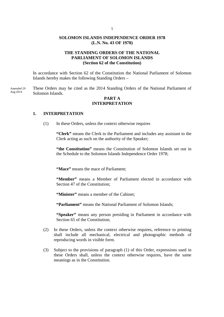# **SOLOMON ISLANDS INDEPENDENCE ORDER 1978 (L.N. No. 43 OF 1978)**

# **THE STANDING ORDERS OF THE NATIONAL PARLIAMENT OF SOLOMON ISLANDS (Section 62 of the Constitution)**

In accordance with Section 62 of the Constitution the National Parliament of Solomon Islands hereby makes the following Standing Orders –

These Orders may be cited as the 2014 Standing Orders of the National Parliament of Solomon Islands. Amended 29 Aug 2014

# **PART A INTERPRETATION**

# **1. INTERPRETATION**

(1) In these Orders, unless the context otherwise requires

**"Clerk"** means the Clerk to the Parliament and includes any assistant to the Clerk acting as such on the authority of the Speaker;

**"the Constitution"** means the Constitution of Solomon Islands set out in the Schedule to the Solomon Islands Independence Order 1978;

**"Mace"** means the mace of Parliament;

**"Member"** means a Member of Parliament elected in accordance with Section 47 of the Constitution;

**"Minister"** means a member of the Cabinet;

**"Parliament"** means the National Parliament of Solomon Islands;

**"Speaker"** means any person presiding in Parliament in accordance with Section 65 of the Constitution;

- (2) In these Orders, unless the context otherwise requires, reference to printing shall include all mechanical, electrical and photographic methods of reproducing words in visible form.
- (3) Subject to the provisions of paragraph (1) of this Order, expressions used in these Orders shall, unless the context otherwise requires, have the same meanings as in the Constitution.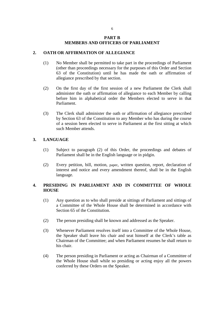#### **PART B MEMBERS AND OFFICERS OF PARLIAMENT**

# **2. OATH OR AFFIRMATION OF ALLEGIANCE**

- (1) No Member shall be permitted to take part in the proceedings of Parliament (other than proceedings necessary for the purposes of this Order and Section 63 of the Constitution) until he has made the oath or affirmation of allegiance prescribed by that section.
- (2) On the first day of the first session of a new Parliament the Clerk shall administer the oath or affirmation of allegiance to each Member by calling before him in alphabetical order the Members elected to serve in that Parliament.
- (3) The Clerk shall administer the oath or affirmation of allegiance prescribed by Section 63 of the Constitution to any Member who has during the course of a session been elected to serve in Parliament at the first sitting at which such Member attends.

# **3. LANGUAGE**

- (1) Subject to paragraph (2) of this Order, the proceedings and debates of Parliament shall be in the English language or in pidgin.
- (2) Every petition, bill, motion, paper, written question, report, declaration of interest and notice and every amendment thereof, shall be in the English language.

# **4. PRESIDING IN PARLIAMENT AND IN COMMITTEE OF WHOLE HOUSE**

- (1) Any question as to who shall preside at sittings of Parliament and sittings of a Committee of the Whole House shall be determined in accordance with Section 65 of the Constitution.
- (2) The person presiding shall be known and addressed as the Speaker.
- (3) Whenever Parliament resolves itself into a Committee of the Whole House, the Speaker shall leave his chair and seat himself at the Clerk's table as Chairman of the Committee; and when Parliament resumes he shall return to his chair.
- (4) The person presiding in Parliament or acting as Chairman of a Committee of the Whole House shall while so presiding or acting enjoy all the powers conferred by these Orders on the Speaker.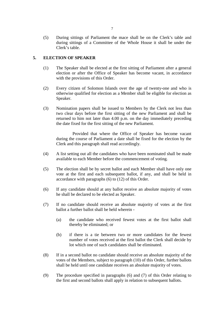(5) During sittings of Parliament the mace shall be on the Clerk's table and during sittings of a Committee of the Whole House it shall be under the Clerk's table.

# **5. ELECTION OF SPEAKER**

- (1) The Speaker shall be elected at the first sitting of Parliament after a general election or after the Office of Speaker has become vacant, in accordance with the provisions of this Order.
- (2) Every citizen of Solomon Islands over the age of twenty-one and who is otherwise qualified for election as a Member shall be eligible for election as Speaker.
- (3) Nomination papers shall be issued to Members by the Clerk not less than two clear days before the first sitting of the new Parliament and shall be returned to him not later than 4.00 p.m. on the day immediately preceding the date fixed for the first sitting of the new Parliament.

 Provided that where the Office of Speaker has become vacant during the course of Parliament a date shall be fixed for the election by the Clerk and this paragraph shall read accordingly.

- (4) A list setting out all the candidates who have been nominated shall be made available to each Member before the commencement of voting.
- (5) The election shall be by secret ballot and each Member shall have only one vote at the first and each subsequent ballot, if any, and shall be held in accordance with paragraphs (6) to (12) of this Order.
- (6) If any candidate should at any ballot receive an absolute majority of votes he shall be declared to be elected as Speaker.
- (7) If no candidate should receive an absolute majority of votes at the first ballot a further ballot shall be held wherein -
	- (a) the candidate who received fewest votes at the first ballot shall thereby be eliminated; or
	- (b) if there is a tie between two or more candidates for the fewest number of votes received at the first ballot the Clerk shall decide by lot which one of such candidates shall be eliminated.
- (8) If in a second ballot no candidate should receive an absolute majority of the votes of the Members, subject to paragraph (10) of this Order, further ballots shall be held until one candidate receives an absolute majority of votes.
- (9) The procedure specified in paragraphs (6) and (7) of this Order relating to the first and second ballots shall apply in relation to subsequent ballots.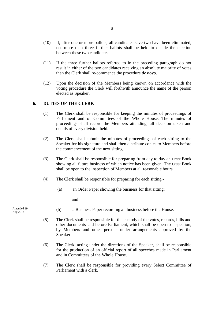- (10) If, after one or more ballots, all candidates save two have been eliminated, not more than three further ballots shall be held to decide the election between these two candidates.
- (11) If the three further ballots referred to in the preceding paragraph do not result in either of the two candidates receiving an absolute majority of votes then the Clerk shall re-commence the procedure *de novo*.
- (12) Upon the decision of the Members being known on accordance with the voting procedure the Clerk will forthwith announce the name of the person elected as Speaker.

# **6. DUTIES OF THE CLERK**

- (1) The Clerk shall be responsible for keeping the minutes of proceedings of Parliament and of Committees of the Whole House. The minutes of proceedings shall record the Members attending, all decision taken and details of every division held.
- (2) The Clerk shall submit the minutes of proceedings of each sitting to the Speaker for his signature and shall then distribute copies to Members before the commencement of the next sitting.
- (3) The Clerk shall be responsible for preparing from day to day an Order Book showing all future business of which notice has been given. The Order Book shall be open to the inspection of Members at all reasonable hours.
- (4) The Clerk shall be responsible for preparing for each sitting
	- (a) an Order Paper showing the business for that sitting;

and

- (b) a Business Paper recording all business before the House.
- (5) The Clerk shall be responsible for the custody of the votes, records, bills and other documents laid before Parliament, which shall be open to inspection, by Members and other persons under arrangements approved by the Speaker.
- (6) The Clerk, acting under the directions of the Speaker, shall be responsible for the production of an official report of all speeches made in Parliament and in Committees of the Whole House.
- (7) The Clerk shall be responsible for providing every Select Committee of Parliament with a clerk.

Amended 29 Aug 2014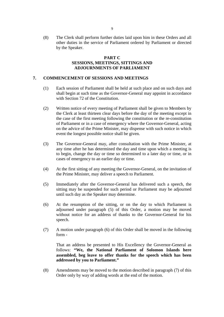(8) The Clerk shall perform further duties laid upon him in these Orders and all other duties in the service of Parliament ordered by Parliament or directed by the Speaker.

# **PART C SESSIONS, MEETINGS, SITTINGS AND ADJOURNMENTS OF PARLIAMENT**

# **7. COMMENCEMENT OF SESSIONS AND MEETINGS**

- (1) Each session of Parliament shall be held at such place and on such days and shall begin at such time as the Governor-General may appoint in accordance with Section 72 of the Constitution.
- (2) Written notice of every meeting of Parliament shall be given to Members by the Clerk at least thirteen clear days before the day of the meeting except in the case of the first meeting following the constitution or the re-constitution of Parliament or in a case of emergency where the Governor-General, acting on the advice of the Prime Minister, may dispense with such notice in which event the longest possible notice shall be given.
- (3) The Governor-General may, after consultation with the Prime Minister, at any time after he has determined the day and time upon which a meeting is to begin, change the day or time so determined to a later day or time, or in cases of emergency to an earlier day or time.
- (4) At the first sitting of any meeting the Governor-General, on the invitation of the Prime Minister, may deliver a speech to Parliament.
- (5) Immediately after the Governor-General has delivered such a speech, the sitting may be suspended for such period or Parliament may be adjourned until such day as the Speaker may determine.
- (6) At the resumption of the sitting, or on the day to which Parliament is adjourned under paragraph (5) of this Order, a motion may be moved without notice for an address of thanks to the Governor-General for his speech.
- (7) A motion under paragraph (6) of this Order shall be moved in the following form -

 That an address be presented to His Excellency the Governor-General as follows: **"We, the National Parliament of Solomon Islands here assembled, beg leave to offer thanks for the speech which has been addressed by you to Parliament."** 

(8) Amendments may be moved to the motion described in paragraph (7) of this Order only by way of adding words at the end of the motion.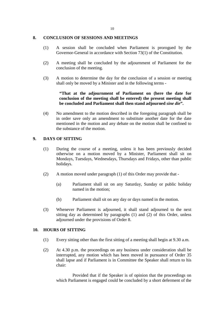#### **8. CONCLUSION OF SESSIONS AND MEETINGS**

- (1) A session shall be concluded when Parliament is prorogued by the Governor-General in accordance with Section 73(1) of the Constitution.
- (2) A meeting shall be concluded by the adjournment of Parliament for the conclusion of the meeting.
- (3) A motion to determine the day for the conclusion of a session or meeting shall only be moved by a Minister and in the following terms -

# **"That at the adjournment of Parliament on (here the date for conclusion of the meeting shall be entered) the present meeting shall be concluded and Parliament shall then stand adjourned** *sine die***".**

(4) No amendment to the motion described in the foregoing paragraph shall be in order save only an amendment to substitute another date for the date mentioned in the motion and any debate on the motion shall be confined to the substance of the motion.

# **9. DAYS OF SITTING**

- (1) During the course of a meeting, unless it has been previously decided otherwise on a motion moved by a Minister, Parliament shall sit on Mondays, Tuesdays, Wednesdays, Thursdays and Fridays, other than public holidays.
- (2) A motion moved under paragraph (1) of this Order may provide that
	- (a) Parliament shall sit on any Saturday, Sunday or public holiday named in the motion;
	- (b) Parliament shall sit on any day or days named in the motion.
- (3) Whenever Parliament is adjourned, it shall stand adjourned to the next sitting day as determined by paragraphs (1) and (2) of this Order, unless adjourned under the provisions of Order 8.

# **10. HOURS OF SITTING**

- (1) Every sitting other than the first sitting of a meeting shall begin at 9.30 a.m.
- (2) At 4.30 p.m. the proceedings on any business under consideration shall be interrupted, any motion which has been moved in pursuance of Order 35 shall lapse and if Parliament is in Committee the Speaker shall return to his chair:

 Provided that if the Speaker is of opinion that the proceedings on which Parliament is engaged could be concluded by a short deferment of the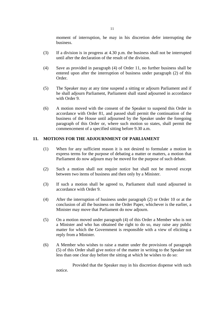moment of interruption, he may in his discretion defer interrupting the business.

- (3) If a division is in progress at 4.30 p.m. the business shall not be interrupted until after the declaration of the result of the division.
- (4) Save as provided in paragraph (4) of Order 11, no further business shall be entered upon after the interruption of business under paragraph (2) of this Order.
- (5) The Speaker may at any time suspend a sitting or adjourn Parliament and if he shall adjourn Parliament, Parliament shall stand adjourned in accordance with Order 9.
- (6) A motion moved with the consent of the Speaker to suspend this Order in accordance with Order 81, and passed shall permit the continuation of the business of the House until adjourned by the Speaker under the foregoing paragraph of this Order or, where such motion so states, shall permit the commencement of a specified sitting before 9.30 a.m.

# **11. MOTIONS FOR THE ADJOURNMENT OF PARLIAMENT**

- (1) When for any sufficient reason it is not desired to formulate a motion in express terms for the purpose of debating a matter or matters, a motion that Parliament do now adjourn may be moved for the purpose of such debate.
- (2) Such a motion shall not require notice but shall not be moved except between two items of business and then only by a Minister.
- (3) If such a motion shall be agreed to, Parliament shall stand adjourned in accordance with Order 9.
- (4) After the interruption of business under paragraph (2) or Order 10 or at the conclusion of all the business on the Order Paper, whichever is the earlier, a Minister may move that Parliament do now adjourn.
- (5) On a motion moved under paragraph (4) of this Order a Member who is not a Minister and who has obtained the right to do so, may raise any public matter for which the Government is responsible with a view of eliciting a reply from a Minister.
- (6) A Member who wishes to raise a matter under the provisions of paragraph (5) of this Order shall give notice of the matter in writing to the Speaker not less than one clear day before the sitting at which he wishes to do so:

 Provided that the Speaker may in his discretion dispense with such notice.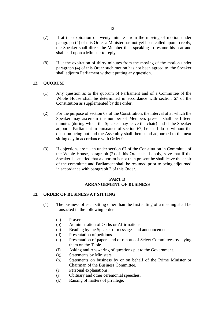- (7) If at the expiration of twenty minutes from the moving of motion under paragraph (4) of this Order a Minister has not yet been called upon to reply, the Speaker shall direct the Member then speaking to resume his seat and shall call upon a Minister to reply.
- (8) If at the expiration of thirty minutes from the moving of the motion under paragraph (4) of this Order such motion has not been agreed to, the Speaker shall adjourn Parliament without putting any question.

#### **12. QUORUM**

- (1) Any question as to the quorum of Parliament and of a Committee of the Whole House shall be determined in accordance with section 67 of the Constitution as supplemented by this order.
- (2) For the purpose of section 67 of the Constitution, the interval after which the Speaker may ascertain the number of Members present shall be fifteen minutes (during which the Speaker may leave the chair) and if the Speaker adjourns Parliament in pursuance of section 67, he shall do so without the question being put and the Assembly shall then stand adjourned to the next sitting day in accordance with Order 9.
- (3) If objections are taken under section 67 of the Constitution in Committee of the Whole House, paragraph (2) of this Order shall apply, save that if the Speaker is satisfied that a quorum is not then present he shall leave the chair of the committee and Parliament shall be resumed prior to being adjourned in accordance with paragraph 2 of this Order.

# **PART D ARRANGEMENT OF BUSINESS**

#### **13. ORDER OF BUSINESS AT SITTING**

- (1) The business of each sitting other than the first sitting of a meeting shall be transacted in the following order –
	- (a) Prayers.
	- (b) Administration of Oaths or Affirmations
	- (c) Reading by the Speaker of messages and announcements.
	- (d) Presentation of petitions.
	- (e) Presentation of papers and of reports of Select Committees by laying them on the Table.
	- (f) Asking and Answering of questions put to the Government.
	- (g) Statements by Ministers.
	- (h) Statements on business by or on behalf of the Prime Minister or Chairman of the Business Committee.
	- (i) Personal explanations.
	- (j) Obituary and other ceremonial speeches.
	- (k) Raising of matters of privilege.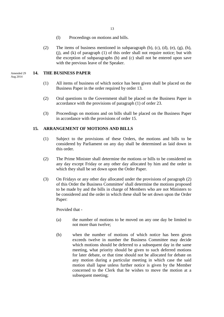- (l) Proceedings on motions and bills.
- (2) The items of business mentioned in subparagraph (b), (c), (d), (e), (g), (h), (j), and (k) of paragraph (1) of this order shall not require notice; but with the exception of subparagraphs (b) and (c) shall not be entered upon save with the previous leave of the Speaker.

# **14. THE BUSINESS PAPER**

- (1) All items of business of which notice has been given shall be placed on the Business Paper in the order required by order 13.
- (2) Oral questions to the Government shall be placed on the Business Paper in accordance with the provisions of paragraph (1) of order 23.
- (3) Proceedings on motions and on bills shall be placed on the Business Paper in accordance with the provisions of order 15.

# **15. ARRANGEMENT OF MOTIONS AND BILLS**

- (1) Subject to the provisions of these Orders, the motions and bills to be considered by Parliament on any day shall be determined as laid down in this order.
- (2) The Prime Minister shall determine the motions or bills to be considered on any day except Friday or any other day allocated by him and the order in which they shall be set down upon the Order Paper.
- (3) On Fridays or any other day allocated under the provisions of paragraph (2) of this Order the Business Committee<sup>i</sup> shall determine the motions proposed to be made by and the bills in charge of Members who are not Ministers to be considered and the order in which these shall be set down upon the Order Paper:

Provided that -

- (a) the number of motions to be moved on any one day be limited to not more than twelve;
- (b) when the number of motions of which notice has been given exceeds twelve in number the Business Committee may decide which motions should be deferred to a subsequent day in the same meeting, what priority should be given to such deferred motions for later debate, or that time should not be allocated for debate on any motion during a particular meeting in which case the said motion shall lapse unless further notice is given by the Member concerned to the Clerk that he wishes to move the motion at a subsequent meeting;

Amended 29 Aug 2014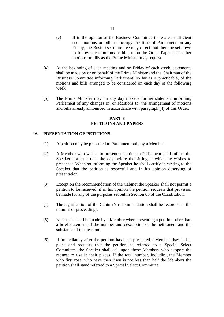- (c) If in the opinion of the Business Committee there are insufficient such motions or bills to occupy the time of Parliament on any Friday, the Business Committee may direct that there be set down to follow such motions or bills upon the Order Paper such other motions or bills as the Prime Minister may request.
- (4) At the beginning of each meeting and on Friday of each week, statements shall be made by or on behalf of the Prime Minister and the Chairman of the Business Committee informing Parliament, so far as is practicable, of the motions and bills arranged to be considered on each day of the following week.
- (5) The Prime Minister may on any day make a further statement informing Parliament of any changes in, or additions to, the arrangement of motions and bills already announced in accordance with paragraph (4) of this Order.

# **PART E PETITIONS AND PAPERS**

# **16. PRESENTATION OF PETITIONS**

- (1) A petition may be presented to Parliament only by a Member.
- (2) A Member who wishes to present a petition to Parliament shall inform the Speaker not later than the day before the sitting at which he wishes to present it. When so informing the Speaker he shall certify in writing to the Speaker that the petition is respectful and in his opinion deserving of presentation.
- (3) Except on the recommendation of the Cabinet the Speaker shall not permit a petition to be received, if in his opinion the petition requests that provision be made for any of the purposes set out in Section 60 of the Constitution.
- (4) The signification of the Cabinet's recommendation shall be recorded in the minutes of proceedings.
- (5) No speech shall be made by a Member when presenting a petition other than a brief statement of the number and description of the petitioners and the substance of the petition.
- (6) If immediately after the petition has been presented a Member rises in his place and requests that the petition be referred to a Special Select Committee, the Speaker shall call upon those Members who support the request to rise in their places. If the total number, including the Member who first rose, who have then risen is not less than half the Members the petition shall stand referred to a Special Select Committee.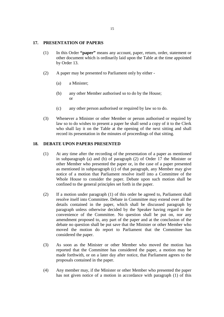#### **17. PRESENTATION OF PAPERS**

- (1) In this Order **"paper"** means any account, paper, return, order, statement or other document which is ordinarily laid upon the Table at the time appointed by Order 13.
- (2) A paper may be presented to Parliament only by either
	- (a) a Minister;
	- (b) any other Member authorised so to do by the House; or
	- (c) any other person authorised or required by law so to do.
- (3) Whenever a Minister or other Member or person authorised or required by law so to do wishes to present a paper he shall send a copy of it to the Clerk who shall lay it on the Table at the opening of the next sitting and shall record its presentation in the minutes of proceedings of that sitting.

#### **18. DEBATE UPON PAPERS PRESENTED**

- (1) At any time after the recording of the presentation of a paper as mentioned in subparagraph (a) and (b) of paragraph (2) of Order 17 the Minister or other Member who presented the paper or, in the case of a paper presented as mentioned in subparagraph (c) of that paragraph, any Member may give notice of a motion that Parliament resolve itself into a Committee of the Whole House to consider the paper. Debate upon such motion shall be confined to the general principles set forth in the paper.
- (2) If a motion under paragraph (1) of this order be agreed to, Parliament shall resolve itself into Committee. Debate in Committee may extend over all the details contained in the paper, which shall be discussed paragraph by paragraph unless otherwise decided by the Speaker having regard to the convenience of the Committee. No question shall be put on, nor any amendment proposed to, any part of the paper and at the conclusion of the debate no question shall be put save that the Minister or other Member who moved the motion do report to Parliament that the Committee has considered the paper.
- (3) As soon as the Minister or other Member who moved the motion has reported that the Committee has considered the paper, a motion may be made forthwith, or on a later day after notice, that Parliament agrees to the proposals contained in the paper.
- (4) Any member may, if the Minister or other Member who presented the paper has not given notice of a motion in accordance with paragraph (1) of this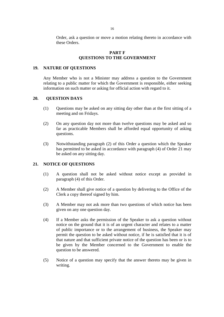Order, ask a question or move a motion relating thereto in accordance with these Orders.

# **PART F QUESTIONS TO THE GOVERNMENT**

#### **19. NATURE OF QUESTIONS**

Any Member who is not a Minister may address a question to the Government relating to a public matter for which the Government is responsible, either seeking information on such matter or asking for official action with regard to it.

#### **20. QUESTION DAYS**

- (1) Questions may be asked on any sitting day other than at the first sitting of a meeting and on Fridays.
- (2) On any question day not more than twelve questions may be asked and so far as practicable Members shall be afforded equal opportunity of asking questions.
- (3) Notwithstanding paragraph (2) of this Order a question which the Speaker has permitted to be asked in accordance with paragraph (4) of Order 21 may be asked on any sitting day.

# **21. NOTICE OF QUESTIONS**

- (1) A question shall not be asked without notice except as provided in paragraph (4) of this Order.
- (2) A Member shall give notice of a question by delivering to the Office of the Clerk a copy thereof signed by him.
- (3) A Member may not ask more than two questions of which notice has been given on any one question day.
- (4) If a Member asks the permission of the Speaker to ask a question without notice on the ground that it is of an urgent character and relates to a matter of public importance or to the arrangement of business, the Speaker may permit the question to be asked without notice, if he is satisfied that it is of that nature and that sufficient private notice of the question has been or is to be given by the Member concerned to the Government to enable the question to be answered.
- (5) Notice of a question may specify that the answer thereto may be given in writing.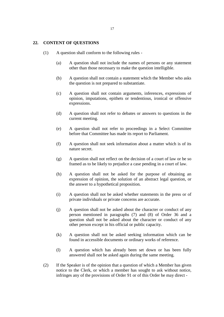#### **22. CONTENT OF QUESTIONS**

- (1) A question shall conform to the following rules
	- (a) A question shall not include the names of persons or any statement other than those necessary to make the question intelligible.
	- (b) A question shall not contain a statement which the Member who asks the question is not prepared to substantiate.
	- (c) A question shall not contain arguments, inferences, expressions of opinion, imputations, epithets or tendentious, ironical or offensive expressions.
	- (d) A question shall not refer to debates or answers to questions in the current meeting.
	- (e) A question shall not refer to proceedings in a Select Committee before that Committee has made its report to Parliament.
	- (f) A question shall not seek information about a matter which is of its nature secret.
	- (g) A question shall not reflect on the decision of a court of law or be so framed as to be likely to prejudice a case pending in a court of law.
	- (h) A question shall not be asked for the purpose of obtaining an expression of opinion, the solution of an abstract legal question, or the answer to a hypothetical proposition.
	- (i) A question shall not be asked whether statements in the press or of private individuals or private concerns are accurate.
	- (j) A question shall not be asked about the character or conduct of any person mentioned in paragraphs (7) and (8) of Order 36 and a question shall not be asked about the character or conduct of any other person except in his official or public capacity.
	- (k) A question shall not be asked seeking information which can be found in accessible documents or ordinary works of reference.
	- (l) A question which has already been set down or has been fully answered shall not be asked again during the same meeting.
- (2) If the Speaker is of the opinion that a question of which a Member has given notice to the Clerk, or which a member has sought to ask without notice, infringes any of the provisions of Order 91 or of this Order he may direct -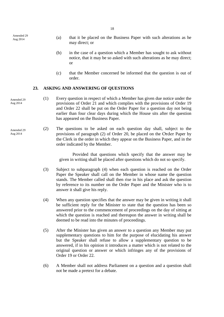Amended 29 Aug 2014

- (a) that it be placed on the Business Paper with such alterations as he may direct; or
- (b) in the case of a question which a Member has sought to ask without notice, that it may be so asked with such alterations as he may direct; or
- (c) that the Member concerned be informed that the question is out of order.

#### **23. ASKING AND ANSWERING OF QUESTIONS**

- (1) Every question in respect of which a Member has given due notice under the provisions of Order 21 and which complies with the provisions of Order 19 and Order 22 shall be put on the Order Paper for a question day not being earlier than four clear days during which the House sits after the question has appeared on the Business Paper. Amended 29
	- (2) The questions to be asked on each question day shall, subject to the provisions of paragraph (2) of Order 20, be placed on the Order Paper by the Clerk in the order in which they appear on the Business Paper, and in the order indicated by the Member.

Provided that questions which specify that the answer may be given in writing shall be placed after questions which do not so specify.

- (3) Subject to subparagraph (4) when each question is reached on the Order Paper the Speaker shall call on the Member in whose name the question stands. The Member called shall then rise in his place and ask the question by reference to its number on the Order Paper and the Minister who is to answer it shall give his reply.
- (4) When any question specifies that the answer may be given in writing it shall be sufficient reply for the Minister to state that the question has been so answered prior to the commencement of proceedings on the day of sitting at which the question is reached and thereupon the answer in writing shall be deemed to be read into the minutes of proceedings.
- (5) After the Minister has given an answer to a question any Member may put supplementary questions to him for the purpose of elucidating his answer but the Speaker shall refuse to allow a supplementary question to be answered, if in his opinion it introduces a matter which is not related to the original question or answer or which infringes any of the provisions of Order 19 or Order 22.
- (6) A Member shall not address Parliament on a question and a question shall not be made a pretext for a debate.

18

Aug 2014

Amended 29 Aug 2014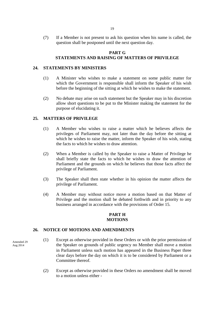(7) If a Member is not present to ask his question when his name is called, the question shall be postponed until the next question day.

#### **PART G**

# **STATEMENTS AND RAISING OF MATTERS OF PRIVILEGE**

#### **24. STATEMENTS BY MINISTERS**

- (1) A Minister who wishes to make a statement on some public matter for which the Government is responsible shall inform the Speaker of his wish before the beginning of the sitting at which he wishes to make the statement.
- (2) No debate may arise on such statement but the Speaker may in his discretion allow short questions to be put to the Minister making the statement for the purpose of elucidating it.

# **25. MATTERS OF PRIVILEGE**

- (1) A Member who wishes to raise a matter which he believes affects the privileges of Parliament may, not later than the day before the sitting at which he wishes to raise the matter, inform the Speaker of his wish, stating the facts to which he wishes to draw attention.
- (2) When a Member is called by the Speaker to raise a Matter of Privilege he shall briefly state the facts to which he wishes to draw the attention of Parliament and the grounds on which he believes that those facts affect the privilege of Parliament.
- (3) The Speaker shall then state whether in his opinion the matter affects the privilege of Parliament.
- (4) A Member may without notice move a motion based on that Matter of Privilege and the motion shall be debated forthwith and in priority to any business arranged in accordance with the provisions of Order 15.

#### **PART H MOTIONS**

# **26. NOTICE OF MOTIONS AND AMENDMENTS**

Amended 29 Aug 2014

- (1) Except as otherwise provided in these Orders or with the prior permission of the Speaker on grounds of public urgency no Member shall move a motion in Parliament unless such motion has appeared in the Business Paper three clear days before the day on which it is to be considered by Parliament or a Committee thereof.
	- (2) Except as otherwise provided in these Orders no amendment shall be moved to a motion unless either -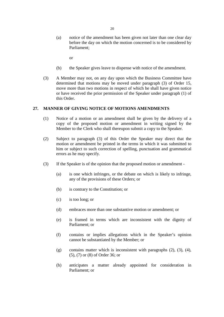(a) notice of the amendment has been given not later than one clear day before the day on which the motion concerned is to be considered by Parliament;

or

- (b) the Speaker gives leave to dispense with notice of the amendment.
- (3) A Member may not, on any day upon which the Business Committee have determined that motions may be moved under paragraph (3) of Order 15, move more than two motions in respect of which he shall have given notice or have received the prior permission of the Speaker under paragraph (1) of this Order.

#### **27. MANNER OF GIVING NOTICE OF MOTIONS AMENDMENTS**

- (1) Notice of a motion or an amendment shall be given by the delivery of a copy of the proposed motion or amendment in writing signed by the Member to the Clerk who shall thereupon submit a copy to the Speaker.
- (2) Subject to paragraph (3) of this Order the Speaker may direct that the motion or amendment be printed in the terms in which it was submitted to him or subject to such correction of spelling, punctuation and grammatical errors as he may specify.
- (3) If the Speaker is of the opinion that the proposed motion or amendment
	- (a) is one which infringes, or the debate on which is likely to infringe, any of the provisions of these Orders; or
	- (b) is contrary to the Constitution; or
	- (c) is too long; or
	- (d) embraces more than one substantive motion or amendment; or
	- (e) is framed in terms which are inconsistent with the dignity of Parliament; or
	- (f) contains or implies allegations which in the Speaker's opinion cannot be substantiated by the Member; or
	- (g) contains matter which is inconsistent with paragraphs (2), (3), (4), (5), (7) or (8) of Order 36; or
	- (h) anticipates a matter already appointed for consideration in Parliament; or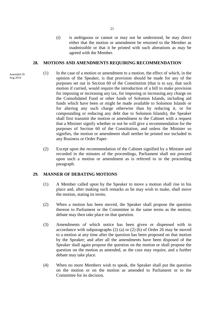(i) is ambiguous or cannot or may not be understood, he may direct either that the motion or amendment be returned to the Member as inadmissible or that it be printed with such alterations as may be agreed with the Member.

#### **28. MOTIONS AND AMENDMENTS REQUIRING RECOMMENDATION**

- (1) In the case of a motion or amendment to a motion, the effect of which, in the opinion of the Speaker, is that provision should be made for any of the purposes set out in Section 60 of the Constitution (that is to say, that such motion if carried, would require the introduction of a bill to make provision for imposing or increasing any tax, for imposing or increasing any charge on the Consolidated Fund or other funds of Solomon Islands, including aid funds which have been or might be made available to Solomon Islands or for altering any such charge otherwise than by reducing it, or for compounding or reducing any debt due to Solomon Islands), the Speaker shall first transmit the motion or amendment to the Cabinet with a request that a Minister signify whether or not he will give a recommendation for the purposes of Section 60 of the Constitution, and unless the Minister so signifies, the motion or amendment shall neither be printed nor included in any Business or Order Paper.
- (2) Except upon the recommendation of the Cabinet signified by a Minister and recorded in the minutes of the proceedings, Parliament shall not proceed upon such a motion or amendment as is referred to in the proceeding paragraph.

#### **29. MANNER OF DEBATING MOTIONS**

- (1) A Member called upon by the Speaker to move a motion shall rise in his place and, after making such remarks as he may wish to make, shall move the motion, stating its terms.
- (2) When a motion has been moved, the Speaker shall propose the question thereon to Parliament or the Committee in the same terms as the motion; debate may then take place on that question.
- (3) Amendments of which notice has been given or dispensed with in accordance with subparagraphs (2) (a) or (2) (b) of Order 26 may be moved to a motion at any time after the question has been proposed on that motion by the Speaker; and after all the amendments have been disposed of the Speaker shall again propose the question on the motion or shall propose the question on the motion as amended, as the case may require, and a further debate may take place.
- (4) When no more Members wish to speak, the Speaker shall put the question on the motion or on the motion as amended to Parliament or to the Committee for its decision.

Amended 29 Aug 2014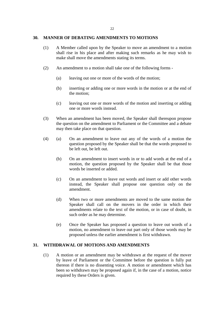# **30. MANNER OF DEBATING AMENDMENTS TO MOTIONS**

- (1) A Member called upon by the Speaker to move an amendment to a motion shall rise in his place and after making such remarks as he may wish to make shall move the amendments stating its terms.
- (2) An amendment to a motion shall take one of the following forms
	- (a) leaving out one or more of the words of the motion;
	- (b) inserting or adding one or more words in the motion or at the end of the motion;
	- (c) leaving out one or more words of the motion and inserting or adding one or more words instead.
- (3) When an amendment has been moved, the Speaker shall thereupon propose the question on the amendment to Parliament or the Committee and a debate may then take place on that question.
- (4) (a) On an amendment to leave out any of the words of a motion the question proposed by the Speaker shall be that the words proposed to be left out, be left out.
	- (b) On an amendment to insert words in or to add words at the end of a motion, the question proposed by the Speaker shall be that those words be inserted or added.
	- (c) On an amendment to leave out words and insert or add other words instead, the Speaker shall propose one question only on the amendment.
	- (d) When two or more amendments are moved to the same motion the Speaker shall call on the movers in the order in which their amendments relate to the text of the motion, or in case of doubt, in such order as he may determine.
	- (e) Once the Speaker has proposed a question to leave out words of a motion, no amendment to leave out part only of those words may be proposed unless the earlier amendment is first withdrawn.

# **31. WITHDRAWAL OF MOTIONS AND AMENDMENTS**

(1) A motion or an amendment may be withdrawn at the request of the mover by leave of Parliament or the Committee before the question is fully put thereon if there is no dissenting voice. A motion or amendment which has been so withdrawn may be proposed again if, in the case of a motion, notice required by these Orders is given.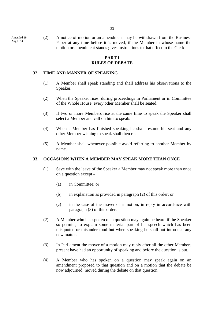Amended 29 Aug 2014

(2) A notice of motion or an amendment may be withdrawn from the Business Paper at any time before it is moved, if the Member in whose name the motion or amendment stands gives instructions to that effect to the Clerk.

# **PART I RULES OF DEBATE**

# **32. TIME AND MANNER OF SPEAKING**

- (1) A Member shall speak standing and shall address his observations to the Speaker.
- (2) When the Speaker rises, during proceedings in Parliament or in Committee of the Whole House, every other Member shall be seated.
- (3) If two or more Members rise at the same time to speak the Speaker shall select a Member and call on him to speak.
- (4) When a Member has finished speaking he shall resume his seat and any other Member wishing to speak shall then rise.
- (5) A Member shall whenever possible avoid referring to another Member by name.

# **33. OCCASIONS WHEN A MEMBER MAY SPEAK MORE THAN ONCE**

- (1) Save with the leave of the Speaker a Member may not speak more than once on a question except -
	- (a) in Committee; or
	- (b) in explanation as provided in paragraph (2) of this order; or
	- (c) in the case of the mover of a motion, in reply in accordance with paragraph (3) of this order.
- (2) A Member who has spoken on a question may again be heard if the Speaker so permits, to explain some material part of his speech which has been misquoted or misunderstood but when speaking he shall not introduce any new matter.
- (3) In Parliament the mover of a motion may reply after all the other Members present have had an opportunity of speaking and before the question is put.
- (4) A Member who has spoken on a question may speak again on an amendment proposed to that question and on a motion that the debate be now adjourned, moved during the debate on that question.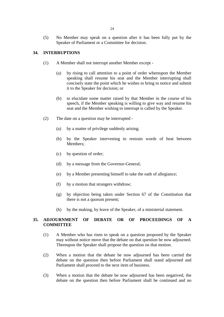(5) No Member may speak on a question after it has been fully put by the Speaker of Parliament or a Committee for decision.

# **34. INTERRUPTIONS**

- (1) A Member shall not interrupt another Member except
	- (a) by rising to call attention to a point of order whereupon the Member speaking shall resume his seat and the Member interrupting shall concisely state the point which he wishes to bring to notice and submit it to the Speaker for decision; or
	- (b) to elucidate some matter raised by that Member in the course of his speech, if the Member speaking is willing to give way and resume his seat and the Member wishing to interrupt is called by the Speaker.
- (2) The date on a question may be interrupted
	- (a) by a matter of privilege suddenly arising;
	- (b) by the Speaker intervening to restrain words of heat between Members;
	- (c) by question of order;
	- (d) by a message from the Governor-General;
	- (e) by a Member presenting himself to take the oath of allegiance;
	- (f) by a motion that strangers withdraw;
	- (g) by objection being taken under Section 67 of the Constitution that there is not a quorum present;
	- (h) by the making, by leave of the Speaker, of a ministerial statement.

# **35. ADJOURNMENT OF DEBATE OR OF PROCEEDINGS OF A COMMITTEE**

- (1) A Member who has risen to speak on a question proposed by the Speaker may without notice move that the debate on that question be now adjourned. Thereupon the Speaker shall propose the question on that motion.
- (2) When a motion that the debate be now adjourned has been carried the debate on the question then before Parliament shall stand adjourned and Parliament shall proceed to the next item of business.
- (3) When a motion that the debate be now adjourned has been negatived, the debate on the question then before Parliament shall be continued and no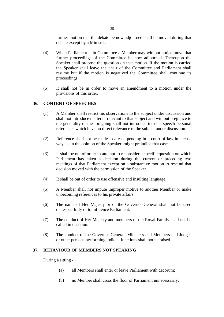further motion that the debate be now adjourned shall be moved during that debate except by a Minister.

- (4) When Parliament is in Committee a Member may without notice move that further proceedings of the Committee be now adjourned. Thereupon the Speaker shall propose the question on that motion. If the motion is carried the Speaker shall leave the chair of the Committee and Parliament shall resume but if the motion is negatived the Committee shall continue its proceedings.
- (5) It shall not be in order to move an amendment to a motion under the provisions of this order.

#### **36. CONTENT OF SPEECHES**

- (1) A Member shall restrict his observations to the subject under discussion and shall not introduce matters irrelevant to that subject and without prejudice to the generality of the foregoing shall not introduce into his speech personal references which have no direct relevance to the subject under discussion.
- (2) Reference shall not be made to a case pending in a court of law in such a way as, in the opinion of the Speaker, might prejudice that case.
- (3) It shall be out of order to attempt to reconsider a specific question on which Parliament has taken a decision during the current or preceding two meetings of that Parliament except on a substantive motion to rescind that decision moved with the permission of the Speaker.
- (4) It shall be out of order to use offensive and insulting language.
- (5) A Member shall not impute improper motive to another Member or make unbecoming references to his private affairs.
- (6) The name of Her Majesty or of the Governor-General shall not be used disrespectfully or to influence Parliament.
- (7) The conduct of Her Majesty and members of the Royal Family shall not be called in question.
- (8) The conduct of the Governor-General, Ministers and Members and Judges or other persons performing judicial functions shall not be raised.

# **37. BEHAVIOUR OF MEMBERS NOT SPEAKING**

During a sitting -

- (a) all Members shall enter or leave Parliament with decorum;
- (b) no Member shall cross the floor of Parliament unnecessarily;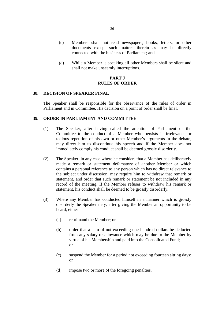- (c) Members shall not read newspapers, books, letters, or other documents except such matters therein as may be directly connected with the business of Parliament; and
- (d) While a Member is speaking all other Members shall be silent and shall not make unseemly interruptions.

# **PART J RULES OF ORDER**

# **38. DECISION OF SPEAKER FINAL**

The Speaker shall be responsible for the observance of the rules of order in Parliament and in Committee. His decision on a point of order shall be final.

#### **39. ORDER IN PARLIAMENT AND COMMITTEE**

- (1) The Speaker, after having called the attention of Parliament or the Committee to the conduct of a Member who persists in irrelevance or tedious repetition of his own or other Member's arguments in the debate, may direct him to discontinue his speech and if the Member does not immediately comply his conduct shall be deemed grossly disorderly.
- (2) The Speaker, in any case where he considers that a Member has deliberately made a remark or statement defamatory of another Member or which contains a personal reference to any person which has no direct relevance to the subject under discussion, may require him to withdraw that remark or statement, and order that such remark or statement be not included in any record of the meeting. If the Member refuses to withdraw his remark or statement, his conduct shall be deemed to be grossly disorderly.
- (3) Where any Member has conducted himself in a manner which is grossly disorderly the Speaker may, after giving the Member an opportunity to be heard, either -
	- (a) reprimand the Member; or
	- (b) order that a sum of not exceeding one hundred dollars be deducted from any salary or allowance which may be due to the Member by virtue of his Membership and paid into the Consolidated Fund; or
	- (c) suspend the Member for a period not exceeding fourteen sitting days; or
	- (d) impose two or more of the foregoing penalties.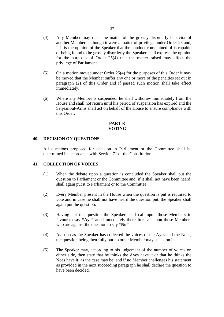- (4) Any Member may raise the matter of the grossly disorderly behavior of another Member as though it were a matter of privilege under Order 25 and, if it is the opinion of the Speaker that the conduct complained of is capable of being found to be grossly disorderly the Speaker shall express the opinion for the purposes of Order 25(4) that the matter raised may affect the privilege of Parliament.
- (5) On a motion moved under Order 25(4) for the purposes of this Order it may be moved that the Member suffer any one or more of the penalties set out in paragraph (2) of this Order and if passed such motion shall take effect immediately.
- (6) Where any Member is suspended, he shall withdraw immediately from the House and shall not return until his period of suspension has expired and the Serjeant-at-Arms shall act on behalf of the House to ensure compliance with this Order.

# **PART K VOTING**

# **40. DECISION ON QUESTIONS**

All questions proposed for decision in Parliament or the Committee shall be determined in accordance with Section 71 of the Constitution.

#### **41. COLLECTION OF VOICES**

- (1) When the debate upon a question is concluded the Speaker shall put the question to Parliament or the Committee and, if it shall not have been heard, shall again put it to Parliament or to the Committee.
- (2) Every Member present in the House when the question is put is required to vote and in case he shall not have heard the question put, the Speaker shall again put the question.
- (3) Having put the question the Speaker shall call upon those Members in favour to say **"Aye"** and immediately thereafter call upon those Members who are against the question to say **"No"**.
- (4) As soon as the Speaker has collected the voices of the Ayes and the Noes, the question being then fully put no other Member may speak on it.
- (5) The Speaker may, according to his judgement of the number of voices on either side, then state that he thinks the Ayes have it or that he thinks the Noes have it, as the case may be; and if no Member challenges his statement as provided in the next succeeding paragraph he shall declare the question to have been decided.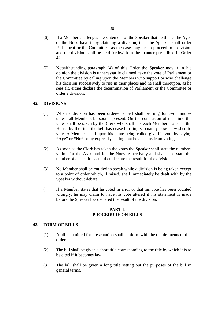- (6) If a Member challenges the statement of the Speaker that he thinks the Ayes or the Noes have it by claiming a division, then the Speaker shall order Parliament or the Committee, as the case may be, to proceed to a division and the division shall be held forthwith in the manner prescribed in Order 42.
- (7) Notwithstanding paragraph (4) of this Order the Speaker may if in his opinion the division is unnecessarily claimed, take the vote of Parliament or the Committee by calling upon the Members who support or who challenge his decision successively to rise in their places and he shall thereupon, as he sees fit, either declare the determination of Parliament or the Committee or order a division.

# **42. DIVISIONS**

- (1) When a division has been ordered a bell shall be rung for two minutes unless all Members be sooner present. On the conclusion of that time the votes shall be taken by the Clerk who shall ask each Member seated in the House by the time the bell has ceased to ring separately how he wished to vote. A Member shall upon his name being called give his vote by saying **"Aye"** or **"No"** or by expressly stating that he abstains from voting.
- (2) As soon as the Clerk has taken the votes the Speaker shall state the numbers voting for the Ayes and for the Noes respectively and shall also state the number of abstentions and then declare the result for the division.
- (3) No Member shall be entitled to speak while a division is being taken except to a point of order which, if raised, shall immediately be dealt with by the Speaker without debate.
- (4) If a Member states that he voted in error or that his vote has been counted wrongly, he may claim to have his vote altered if his statement is made before the Speaker has declared the result of the division.

# **PART L PROCEDURE ON BILLS**

# **43. FORM OF BILLS**

- (1) A bill submitted for presentation shall conform with the requirements of this order.
- (2) The bill shall be given a short title corresponding to the title by which it is to be cited if it becomes law.
- (3) The bill shall be given a long title setting out the purposes of the bill in general terms.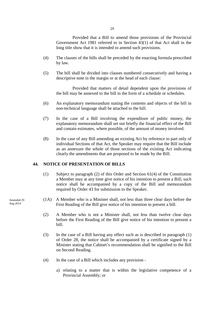Provided that a Bill to amend those provisions of the Provincial Government Act 1981 referred to in Section 43(1) of that Act shall in the long title show that it is intended to amend such provisions.

- (4) The clauses of the bills shall be preceded by the enacting formula prescribed by law.
- (5) The bill shall be divided into clauses numbered consecutively and having a descriptive note in the margin or at the head of each clause:

 Provided that matters of detail dependent upon the provisions of the bill may be annexed to the bill in the form of a schedule or schedules.

- (6) An explanatory memorandum stating the contents and objects of the bill in non-technical language shall be attached to the bill.
- (7) In the case of a Bill involving the expenditure of public money, the explanatory memorandum shall set out briefly the financial effect of the Bill and contain estimates, where possible, of the amount of money involved.
- (8) In the case of any Bill amending an existing Act by reference to part only of individual Sections of that Act, the Speaker may require that the Bill include as an annexure the whole of those sections of the existing Act indicating clearly the amendments that are proposed to be made by the Bill.

#### **44. NOTICE OF PRESENTATION OF BILLS**

- (1) Subject to paragraph (2) of this Order and Section 61(4) of the Constitution a Member may at any time give notice of his intention to present a Bill; such notice shall be accompanied by a copy of the Bill and memorandum required by Order 43 for submission to the Speaker.
- (1A) A Member who is a Minister shall, not less than three clear days before the First Reading of the Bill give notice of his intention to present a bill.
	- (2) A Member who is not a Minister shall, not less than twelve clear days before the First Reading of the Bill give notice of his intention to present a bill.
	- (3) In the case of a Bill having any effect such as is described in paragraph (1) of Order 28, the notice shall be accompanied by a certificate signed by a Minister stating that Cabinet's recommendation shall be signified to the Bill on Second Reading.
	- (4) In the case of a Bill which includes any provision
		- a) relating to a matter that is within the legislative competence of a Provincial Assembly; or

Amended 29 Aug 2014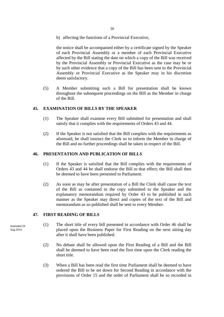b) affecting the functions of a Provincial Executive,

the notice shall be accompanied either by a certificate signed by the Speaker of each Provincial Assembly or a member of each Provincial Executive affected by the Bill stating the date on which a copy of the Bill was received by the Provincial Assembly or Provincial Executive as the case may be or by such other evidence that a copy of the Bill has been sent to the Provincial Assembly or Provincial Executive as the Speaker may in his discretion deem satisfactory.

(5) A Member submitting such a Bill for presentation shall be known throughout the subsequent proceedings on the Bill as the Member in charge of the Bill.

# **45. EXAMINATION OF BILLS BY THE SPEAKER**

- (1) The Speaker shall examine every Bill submitted for presentation and shall satisfy that it complies with the requirements of Orders 43 and 44.
- (2) If the Speaker is not satisfied that the Bill complies with the requirements as aforesaid, he shall instruct the Clerk so to inform the Member in charge of the Bill and no further proceedings shall be taken in respect of the Bill.

# **46. PRESENTATION AND PUBLICATION OF BILLS**

- (1) If the Speaker is satisfied that the Bill complies with the requirements of Orders 43 and 44 he shall endorse the Bill to that effect; the Bill shall then be deemed to have been presented to Parliament.
- (2) As soon as may be after presentation of a Bill the Clerk shall cause the text of the Bill as contained in the copy submitted to the Speaker and the explanatory memorandum required by Order 43 to be published in such manner as the Speaker may direct and copies of the text of the Bill and memorandum as so published shall be sent to every Member.

#### **47. FIRST READING OF BILLS**

- (1) The short title of every bill presented in accordance with Order 46 shall be placed upon the Business Paper for First Reading on the next sitting day after it shall have been published.
	- (2) No debate shall be allowed upon the First Reading of a Bill and the Bill shall be deemed to have been read the first time upon the Clerk reading the short title.
	- (3) When a Bill has been read the first time Parliament shall be deemed to have ordered the Bill to be set down for Second Reading in accordance with the provisions of Order 15 and the order of Parliament shall be so recorded in

Amended 29 Aug 2014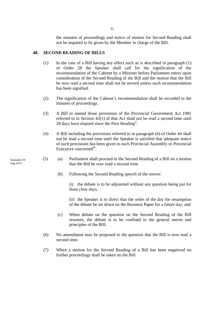the minutes of proceedings and notice of motion for Second Reading shall not be required to be given by the Member in charge of the Bill.

#### **48. SECOND READING OF BILLS**

- (1) In the case of a Bill having any effect such as is described in paragraph (1) of Order 28 the Speaker shall call for the signification of the recommendation of the Cabinet by a Minister before Parliament enters upon consideration of the Second Reading of the Bill and the motion that the Bill be now read a second time shall not be moved unless such recommendation has been signified.
- (2) The signification of the Cabinet's recommendation shall be recorded in the minutes of proceedings.
- (3) A Bill to amend those provisions of the Provincial Government Act 1981 referred to in Section 43(1) of that Act shall not be read a second time until 28 days have elapsed since the First Reading<sup>ii</sup>.
- (4) A Bill including the provisions referred to in paragraph (4) of Order 44 shall not be read a second time until the Speaker is satisfied that adequate notice of such provisions has been given to each Provincial Assembly or Provincial Executive concerned<sup>iii</sup>.
- (5) (a) Parliament shall proceed to the Second Reading of a Bill on a motion that the Bill be now read a second time.
	- (b) Following the Second Reading speech of the mover:
		- (i) the debate is to be adjourned without any question being put for three clear days,
		- (ii) the Speaker is to direct that the order of the day for resumption of the debate be set down on the Business Paper for a future day, and
	- (c) When debate on the question on the Second Reading of the Bill resumes, the debate is to be confined to the general merits and principles of the Bill.
- (6) No amendment may be proposed to the question that the Bill is now read a second time.
- (7) When a motion for the Second Reading of a Bill has been negatived no further proceedings shall be taken on the Bill.

Amended 29

Aug 2014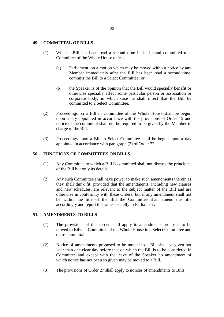#### **49. COMMITTAL OF BILLS**

- (1) When a Bill has been read a second time it shall stand committed to a Committee of the Whole House unless -
	- (a) Parliament, on a motion which may be moved without notice by any Member immediately after the Bill has been read a second time, commits the Bill to a Select Committee; or
	- (b) the Speaker is of the opinion that the Bill would specially benefit or otherwise specially affect some particular person or association or corporate body, in which case he shall direct that the Bill be committed to a Select Committee.
- (2) Proceedings on a Bill in Committee of the Whole House shall be begun upon a day appointed in accordance with the provisions of Order 15 and notice of the committal shall not be required to be given by the Member in charge of the Bill.
- (3) Proceedings upon a Bill in Select Committee shall be begun upon a day appointed in accordance with paragraph (2) of Order 72.

# **50. FUNCTIONS OF COMMITTEES ON BILLS**

- (1) Any Committee to which a Bill is committed shall not discuss the principles of the Bill but only its details.
- (2) Any such Committee shall have power to make such amendments therein as they shall think fit, provided that the amendments, including new clauses and new schedules, are relevant to the subject matter of the Bill and are otherwise in conformity with these Orders; but if any amendment shall not be within the title of the Bill the Committee shall amend the title accordingly and report the same specially to Parliament.

# **51. AMENDMENTS TO BILLS**

- (1) The provisions of this Order shall apply to amendments proposed to be moved to Bills in Committee of the Whole House in a Select Committee and on re-committal.
- (2) Notice of amendments proposed to be moved to a Bill shall be given not later than one clear day before that on which the Bill is to be considered in Committee and except with the leave of the Speaker no amendment of which notice has not been so given may be moved to a Bill.
- (3) The provisions of Order 27 shall apply to notices of amendments to Bills.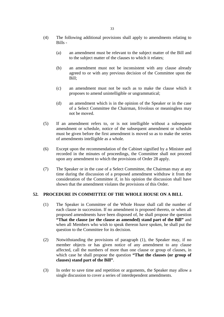- (4) The following additional provisions shall apply to amendments relating to Bills -
	- (a) an amendment must be relevant to the subject matter of the Bill and to the subject matter of the clauses to which it relates;
	- (b) an amendment must not be inconsistent with any clause already agreed to or with any previous decision of the Committee upon the Bill;
	- (c) an amendment must not be such as to make the clause which it proposes to amend unintelligible or ungrammatical;
	- (d) an amendment which is in the opinion of the Speaker or in the case of a Select Committee the Chairman, frivolous or meaningless may not be moved.
- (5) If an amendment refers to, or is not intelligible without a subsequent amendment or schedule, notice of the subsequent amendment or schedule must be given before the first amendment is moved so as to make the series of amendments intelligible as a whole.
- (6) Except upon the recommendation of the Cabinet signified by a Minister and recorded in the minutes of proceedings, the Committee shall not proceed upon any amendment to which the provisions of Order 28 apply.
- (7) The Speaker or in the case of a Select Committee, the Chairman may at any time during the discussion of a proposed amendment withdraw it from the consideration of the Committee if, in his opinion the discussion shall have shown that the amendment violates the provisions of this Order.

# **52. PROCEDURE IN COMMITTEE OF THE WHOLE HOUSE ON A BILL**

- (1) The Speaker in Committee of the Whole House shall call the number of each clause in succession. If no amendment is proposed thereto, or when all proposed amendments have been disposed of, he shall propose the question **"That the clause (or the clause as amended) stand part of the Bill"** and when all Members who wish to speak thereon have spoken, he shall put the question to the Committee for its decision.
- (2) Notwithstanding the provisions of paragraph (1), the Speaker may, if no member objects or has given notice of any amendment to any clause affected, call the numbers of more than one clause or group of clauses, in which case he shall propose the question **"That the clauses (or group of clauses) stand part of the Bill"**.
- (3) In order to save time and repetition or arguments, the Speaker may allow a single discussion to cover a series of interdependent amendments.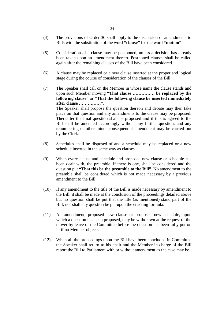- (4) The provisions of Order 30 shall apply to the discussion of amendments to Bills with the substitution of the word **"clause"** for the word **"motion"**.
- (5) Consideration of a clause may be postponed, unless a decision has already been taken upon an amendment thereto. Postponed clauses shall be called again after the remaining clauses of the Bill have been considered.
- (6) A clause may be replaced or a new clause inserted at the proper and logical stage during the course of consideration of the clauses of the Bill.
- (7) The Speaker shall call on the Member in whose name the clause stands and upon such Member moving **"That clause …………… be replaced by the following clause"** or **"That the following clause be inserted immediately after clause ……………"**. The Speaker shall propose the question thereon and debate may then take place on that question and any amendments to the clause may be proposed.

Thereafter the final question shall be proposed and if this is agreed to the Bill shall be amended accordingly without any further question, and any renumbering or other minor consequential amendment may be carried out by the Clerk.

- (8) Schedules shall be disposed of and a schedule may be replaced or a new schedule inserted in the same way as clauses.
- (9) When every clause and schedule and proposed new clause or schedule has been dealt with, the preamble, if there is one, shall be considered and the question put **"That this be the preamble to the Bill"**. No amendment to the preamble shall be considered which is not made necessary by a previous amendment to the Bill.
- (10) If any amendment to the title of the Bill is made necessary by amendment to the Bill, it shall be made at the conclusion of the proceedings detailed above but no question shall be put that the title (as mentioned) stand part of the Bill; nor shall any question be put upon the enacting formula.
- (11) An amendment, proposed new clause or proposed new schedule, upon which a question has been proposed, may be withdrawn at the request of the mover by leave of the Committee before the question has been fully put on it, if no Member objects.
- (12) When all the proceedings upon the Bill have been concluded in Committee the Speaker shall return to his chair and the Member in charge of the Bill report the Bill to Parliament with or without amendment as the case may be.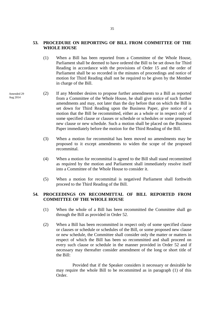#### **53. PROCEDURE ON REPORTING OF BILL FROM COMMITTEE OF THE WHOLE HOUSE**

- (1) When a Bill has been reported from a Committee of the Whole House, Parliament shall be deemed to have ordered the Bill to be set down for Third Reading in accordance with the provisions of Order 15 and the order of Parliament shall be so recorded in the minutes of proceedings and notice of motion for Third Reading shall not be required to be given by the Member in charge of the Bill.
- (2) If any Member desires to propose further amendments to a Bill as reported from a Committee of the Whole House, he shall give notice of such further amendments and may, not later than the day before that on which the Bill is set down for Third Reading upon the Business Paper, give notice of a motion that the Bill be recommitted, either as a whole or in respect only of some specified clause or clauses or schedule or schedules or some proposed new clause or new schedule. Such a motion shall be placed on the Business Paper immediately before the motion for the Third Reading of the Bill.
	- (3) When a motion for recommittal has been moved no amendments may be proposed to it except amendments to widen the scope of the proposed recommittal.
	- (4) When a motion for recommittal is agreed to the Bill shall stand recommitted as required by the motion and Parliament shall immediately resolve itself into a Committee of the Whole House to consider it.
	- (5) When a motion for recommittal is negatived Parliament shall forthwith proceed to the Third Reading of the Bill.

# **54. PROCEEDINGS ON RECOMMITTAL OF BILL REPORTED FROM COMMITTEE OF THE WHOLE HOUSE**

- (1) When the whole of a Bill has been recommitted the Committee shall go through the Bill as provided in Order 52.
- (2) When a Bill has been recommitted in respect only of some specified clause or clauses or schedule or schedules of the Bill, or some proposed new clause or new schedule, the Committee shall consider only the matter or matters in respect of which the Bill has been so recommitted and shall proceed on every such clause or schedule in the manner provided in Order 52 and if necessary may thereafter consider amendment of the long or short title of the Bill:

 Provided that if the Speaker considers it necessary or desirable he may require the whole Bill to be recommitted as in paragraph (1) of this Order.

Amended 29 Aug 2014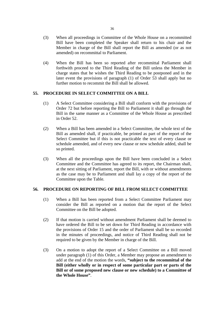- (3) When all proceedings in Committee of the Whole House on a recommitted Bill have been completed the Speaker shall return to his chair and the Member in charge of the Bill shall report the Bill as amended (or as not amended) on recommittal to Parliament.
- (4) When the Bill has been so reported after recommittal Parliament shall forthwith proceed to the Third Reading of the Bill unless the Member in charge states that he wishes the Third Reading to be postponed and in the later event the provisions of paragraph (1) of Order 53 shall apply but no further motion to recommit the Bill shall be allowed.

# **55. PROCEDURE IN SELECT COMMITTEE ON A BILL**

- (1) A Select Committee considering a Bill shall conform with the provisions of Order 72 but before reporting the Bill to Parliament it shall go through the Bill in the same manner as a Committee of the Whole House as prescribed in Order 52.
- (2) When a Bill has been amended in a Select Committee, the whole text of the Bill as amended shall, if practicable, be printed as part of the report of the Select Committee but if this is not practicable the text of every clause or schedule amended, and of every new clause or new schedule added, shall be so printed.
- (3) When all the proceedings upon the Bill have been concluded in a Select Committee and the Committee has agreed to its report, the Chairman shall, at the next sitting of Parliament, report the Bill, with or without amendments as the case may be to Parliament and shall lay a copy of the report of the Committee upon the Table.

#### **56. PROCEDURE ON REPORTING OF BILL FROM SELECT COMMITTEE**

- (1) When a Bill has been reported from a Select Committee Parliament may consider the Bill as reported on a motion that the report of the Select Committee on the Bill be adopted.
- (2) If that motion is carried without amendment Parliament shall be deemed to have ordered the Bill to be set down for Third Reading in accordance with the provisions of Order 15 and the order of Parliament shall be so recorded in the minutes of proceedings, and notice of Third Reading shall not be required to be given by the Member in charge of the Bill.
- (3) On a motion to adopt the report of a Select Committee on a Bill moved under paragraph (1) of this Order, a Member may propose an amendment to add at the end of the motion the words, **"subject to the recommittal of the Bill (either wholly or in respect of some particular part or parts of the Bill or of some proposed new clause or new schedule) to a Committee of the Whole House"**.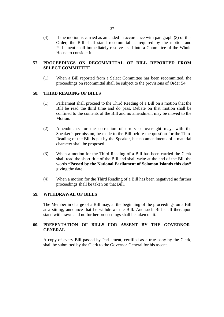(4) If the motion is carried as amended in accordance with paragraph (3) of this Order, the Bill shall stand recommittal as required by the motion and Parliament shall immediately resolve itself into a Committee of the Whole House to consider it.

# **57. PROCEEDINGS ON RECOMMITTAL OF BILL REPORTED FROM SELECT COMMITTEE**

(1) When a Bill reported from a Select Committee has been recommitted, the proceedings on recommittal shall be subject to the provisions of Order 54.

# **58. THIRD READING OF BILLS**

- (1) Parliament shall proceed to the Third Reading of a Bill on a motion that the Bill be read the third time and do pass. Debate on that motion shall be confined to the contents of the Bill and no amendment may be moved to the Motion.
- (2) Amendments for the correction of errors or oversight may, with the Speaker's permission, be made to the Bill before the question for the Third Reading of the Bill is put by the Speaker, but no amendments of a material character shall be proposed.
- (3) When a motion for the Third Reading of a Bill has been carried the Clerk shall read the short title of the Bill and shall write at the end of the Bill the words **"Passed by the National Parliament of Solomon Islands this day"** giving the date.
- (4) When a motion for the Third Reading of a Bill has been negatived no further proceedings shall be taken on that Bill.

#### **59. WITHDRAWAL OF BILLS**

The Member in charge of a Bill may, at the beginning of the proceedings on a Bill at a sitting, announce that he withdraws the Bill. And such Bill shall thereupon stand withdrawn and no further proceedings shall be taken on it.

# **60. PRESENTATION OF BILLS FOR ASSENT BY THE GOVERNOR-GENERAL**

A copy of every Bill passed by Parliament, certified as a true copy by the Clerk, shall be submitted by the Clerk to the Governor-General for his assent.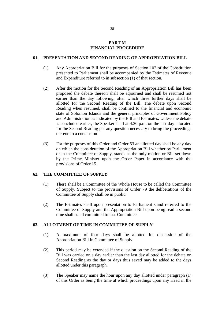#### **PART M FINANCIAL PROCEDURE**

# **61. PRESENTATION AND SECOND READING OF APPROPRIATION BILL**

- (1) Any Appropriation Bill for the purposes of Section 102 of the Constitution presented to Parliament shall be accompanied by the Estimates of Revenue and Expenditure referred to in subsection (1) of that section.
- (2) After the motion for the Second Reading of an Appropriation Bill has been proposed the debate thereon shall be adjourned and shall be resumed not earlier than the day following, after which three further days shall be allotted for the Second Reading of the Bill. The debate upon Second Reading when resumed, shall be confined to the financial and economic state of Solomon Islands and the general principles of Government Policy and Administration as indicated by the Bill and Estimates. Unless the debate is concluded earlier, the Speaker shall at 4.30 p.m. on the last day allocated for the Second Reading put any question necessary to bring the proceedings thereon to a conclusion.
- (3) For the purposes of this Order and Order 63 an allotted day shall be any day on which the consideration of the Appropriation Bill whether by Parliament or in the Committee of Supply, stands as the only motion or Bill set down by the Prime Minister upon the Order Paper in accordance with the provisions of Order 15.

#### **62. THE COMMITTEE OF SUPPLY**

- (1) There shall be a Committee of the Whole House to be called the Committee of Supply. Subject to the provisions of Order 79 the deliberations of the Committee of Supply shall be in public.
- (2) The Estimates shall upon presentation to Parliament stand referred to the Committee of Supply and the Appropriation Bill upon being read a second time shall stand committed to that Committee.

# **63. ALLOTMENT OF TIME IN COMMITTEE OF SUPPLY**

- (1) A maximum of four days shall be allotted for discussion of the Appropriation Bill in Committee of Supply.
- (2) This period may be extended if the question on the Second Reading of the Bill was carried on a day earlier than the last day allotted for the debate on Second Reading as the day or days thus saved may be added to the days allotted under this paragraph.
- (3) The Speaker may name the hour upon any day allotted under paragraph (1) of this Order as being the time at which proceedings upon any Head in the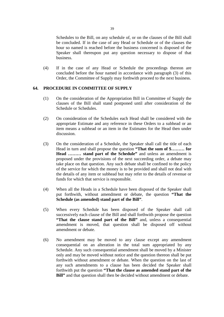Schedules to the Bill, on any schedule of, or on the clauses of the Bill shall be concluded. If in the case of any Head or Schedule or of the clauses the hour so named is reached before the business concerned is disposed of the Speaker shall thereupon put any question necessary to dispose of that business.

(4) If in the case of any Head or Schedule the proceedings thereon are concluded before the hour named in accordance with paragraph (3) of this Order, the Committee of Supply may forthwith proceed to the next business.

# **64. PROCEDURE IN COMMITTEE OF SUPPLY**

- (1) On the consideration of the Appropriation Bill in Committee of Supply the clauses of the Bill shall stand postponed until after consideration of the Schedule or Schedules.
- (2) On consideration of the Schedules each Head shall be considered with the appropriate Estimate and any reference in these Orders to a subhead or an item means a subhead or an item in the Estimates for the Head then under discussion.
- (3) On the consideration of a Schedule, the Speaker shall call the title of each Head in turn and shall propose the question **"That the sum of \$……… for Head ……… stand part of the Schedule"** and unless an amendment is proposed under the provisions of the next succeeding order, a debate may take place on that question. Any such debate shall be confined to the policy of the service for which the money is to be provided and shall not deal with the details of any item or subhead but may refer to the details of revenue or funds for which that service is responsible.
- (4) When all the Heads in a Schedule have been disposed of the Speaker shall put forthwith, without amendment or debate, the question **"That the Schedule (as amended) stand part of the Bill"**.
- (5) When every Schedule has been disposed of the Speaker shall call successively each clause of the Bill and shall forthwith propose the question **"That the clause stand part of the Bill"** and, unless a consequential amendment is moved, that question shall be disposed off without amendment or debate.
- (6) No amendment may be moved to any clause except any amendment consequential on an alteration in the total sum appropriated by any Schedule. Any such consequential amendment shall be moved by a Minister only and may be moved without notice and the question thereon shall be put forthwith without amendment or debate. When the question on the last of any such amendments to a clause has been decided the Speaker shall forthwith put the question **"That the clause as amended stand part of the Bill**" and that question shall then be decided without amendment or debate.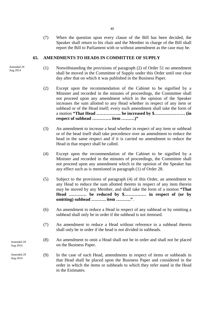(7) When the question upon every clause of the Bill has been decided, the Speaker shall return to his chair and the Member in charge of the Bill shall report the Bill to Parliament with or without amendment as the case may be.

#### **65. AMENDMENTS TO HEADS IN COMMITTEE OF SUPPLY**

Amended 29 Aug 2014

- (1) Notwithstanding the provisions of paragraph (2) of Order 51 no amendment shall be moved in the Committee of Supply under this Order until one clear day after that on which it was published in the Business Paper.
	- (2) Except upon the recommendation of the Cabinet to be signified by a Minister and recorded in the minutes of proceedings, the Committee shall not proceed upon any amendment which in the opinion of the Speaker increases the sum allotted to any Head whether in respect of any item or subhead or of the Head itself; every such amendment shall take the form of a motion **"That Head …………….. be increased by \$………………… (in respect of subhead …………. item ………)"**
	- (3) An amendment to increase a head whether in respect of any item or subhead or of the head itself shall take precedence over an amendment to reduce the head in the same respect and if it is carried no amendment to reduce the Head in that respect shall be called.
	- (4) Except upon the recommendation of the Cabinet to be signified by a Minister and recorded in the minutes of proceedings, the Committee shall not proceed upon any amendment which in the opinion of the Speaker has any effect such as is mentioned in paragraph (1) of Order 28.
	- (5) Subject to the provisions of paragraph (4) of this Order, an amendment to any Head to reduce the sum allotted thereto in respect of any item therein may be moved by any Member, and shall take the form of a motion **"That Head ………… be reduced by \$…………… in respect of (or by omitting) subhead ………. item ………."**.
	- (6) An amendment to reduce a Head in respect of any subhead or by omitting a subhead shall only be in order if the subhead is not itemised.
	- (7) An amendment to reduce a Head without reference to a subhead therein shall only be in order if the head is not divided in subheads.
- (8) An amendment to omit a Head shall not be in order and shall not be placed on the Business Paper.
- (9) In the case of each Head, amendments in respect of items or subheads in that Head shall be placed upon the Business Paper and considered in the order in which the items or subheads to which they refer stand in the Head in the Estimates.

Amended 29 Aug 2014

Amended 29 Aug 2014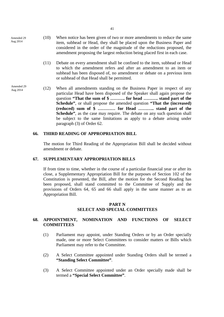Amended 29 Aug 2014

Amended 29 Aug 2014

- (10) When notice has been given of two or more amendments to reduce the same item, subhead or Head, they shall be placed upon the Business Paper and considered in the order of the magnitude of the reductions proposed, the amendment proposing the largest reduction being placed first in each case.
- (11) Debate on every amendment shall be confined to the item, subhead or Head to which the amendment refers and after an amendment to an item or subhead has been disposed of, no amendment or debate on a previous item or subhead of that Head shall be permitted.
- (12) When all amendments standing on the Business Paper in respect of any particular Head have been disposed of the Speaker shall again propose the question **"That the sum of \$ ………. for head ………. stand part of the Schedule"**, or shall propose the amended question **"That the (increased) (reduced) sum of \$ ………… for Head ……….. stand part of the Schedule**<sup>"</sup>, as the case may require. The debate on any such question shall be subject to the same limitations as apply to a debate arising under paragraph (3) of Order 62.

# **66. THIRD READING OF APPROPRIATION BILL**

The motion for Third Reading of the Appropriation Bill shall be decided without amendment or debate.

# **67. SUPPLEMENTARY APPROPRIATION BILLS**

If from time to time, whether in the course of a particular financial year or after its close, a Supplementary Appropriation Bill for the purposes of Section 102 of the Constitution is presented, the Bill, after the motion for the Second Reading has been proposed, shall stand committed to the Committee of Supply and the provisions of Orders 64, 65 and 66 shall apply in the same manner as to an Appropriation Bill.

### **PART N SELECT AND SPECIAL COMMITTEES**

# **68. APPOINTMENT, NOMINATION AND FUNCTIONS OF SELECT COMMITTEES**

- (1) Parliament may appoint, under Standing Orders or by an Order specially made, one or more Select Committees to consider matters or Bills which Parliament may refer to the Committee.
- (2) A Select Committee appointed under Standing Orders shall be termed a **"Standing Select Committee"**.
- (3) A Select Committee appointed under an Order specially made shall be termed a **"Special Select Committee"**.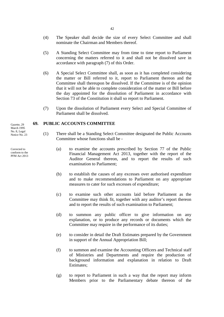- (4) The Speaker shall decide the size of every Select Committee and shall nominate the Chairman and Members thereof.
- (5) A Standing Select Committee may from time to time report to Parliament concerning the matters referred to it and shall not be dissolved save in accordance with paragraph (7) of this Order.
- (6) A Special Select Committee shall, as soon as it has completed considering the matter or Bill referred to it, report to Parliament thereon and the Committee shall thereupon be dissolved. If the Committee is of the opinion that it will not be able to complete consideration of the matter or Bill before the day appointed for the dissolution of Parliament in accordance with Section 73 of the Constitution it shall so report to Parliament.
- (7) Upon the dissolution of Parliament every Select and Special Committee of Parliament shall be dissolved.

# **69. PUBLIC ACCOUNTS COMMITTEE**

- (1) There shall be a Standing Select Committee designated the Public Accounts Committee whose functions shall be -
	- (a) to examine the accounts prescribed by Section 77 of the Public Financial Management Act 2013, together with the report of the Auditor General thereon, and to report the results of such examination to Parliament;
	- (b) to establish the causes of any excesses over authorised expenditure and to make recommendations to Parliament on any appropriate measures to cater for such excesses of expenditure;
	- (c) to examine such other accounts laid before Parliament as the Committee may think fit, together with any auditor's report thereon and to report the results of such examination to Parliament;
	- (d) to summon any public officer to give information on any explanation, or to produce any records or documents which the Committee may require in the performance of its duties;
	- (e) to consider in detail the Draft Estimates prepared by the Government in support of the Annual Appropriation Bill;
	- (f) to summon and examine the Accounting Officers and Technical staff of Ministries and Departments and require the production of background information and explanation in relation to Draft Estimates;
	- (g) to report to Parliament in such a way that the report may inform Members prior to the Parliamentary debate thereon of the

Gazette, 29 March 1995 No. 8, Legal Notice No. 23

Corrected to conform to the PFM Act 2013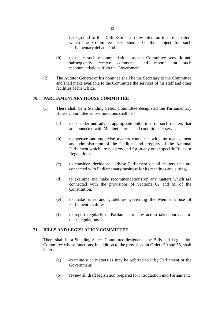background to the Draft Estimates draw attention to those matters which the Committee feels should be the subject for such Parliamentary debate; and

- (h) to make such recommendations as the Committee sees fit and subsequently receive comments and reports on such recommendations from the Government.
- (2) The Auditor General or his nominee shall be the Secretary to the Committee and shall make available to the Committee the services of his staff and other facilities of his Office.

# **70. PARLIAMENTARY HOUSE COMMITTEE**

- (1) There shall be a Standing Select Committee designated the Parliamentary House Committee whose functions shall be -
	- (a) to consider and advise appropriate authorities on such matters that are connected with Member's terms and conditions of service;
	- (b) to oversee and supervise matters connected with the management and administration of the facilities and property of the National Parliament which are not provided for in any other specific Rules or Regulations;
	- (c) to consider, decide and advise Parliament on all matters that are connected with Parliamentary business for its meetings and sittings;
	- (d) to examine and make recommendations on any matters which are connected with the provisions of Sections 62 and 69 of the Constitution;
	- (e) to make rules and guidelines governing the Member's use of Parliament facilities;
	- (f) to report regularly to Parliament of any action taken pursuant to these regulations.

# **71. BILLS AND LEGISLATION COMMITTEE**

There shall be a Standing Select Committee designated the Bills and Legislation Committee whose functions, in addition to the provisions in Orders 50 and 55, shall be to -

- (a) examine such matters as may be referred to it by Parliament or the Government;
- (b) review all draft legislation prepared for introduction into Parliament;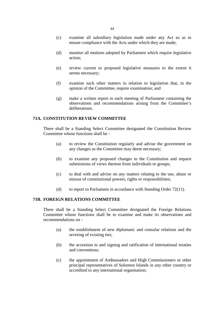- (c) examine all subsidiary legislation made under any Act so as to ensure compliance with the Acts under which they are made;
- (d) monitor all motions adopted by Parliament which require legislative action;
- (e) review current or proposed legislative measures to the extent it seems necessary;
- (f) examine such other matters in relation to legislation that, in the opinion of the Committee, require examination; and
- (g) make a written report to each meeting of Parliament containing the observations and recommendations arising from the Committee's deliberations.

# **71A. CONSTITUTION REVIEW COMMITTEE**

There shall be a Standing Select Committee designated the Constitution Review Committee whose functions shall be -

- (a) to review the Constitution regularly and advise the government on any changes as the Committee may deem necessary;
- (b) to examine any proposed changes to the Constitution and request submissions of views thereon from individuals or groups;
- (c) to deal with and advise on any matters relating to the use, abuse or misuse of constitutional powers, rights or responsibilities;
- (d) to report to Parliament in accordance with Standing Order 72(11).

# **71B. FOREIGN RELATIONS COMMITTEE**

There shall be a Standing Select Committee designated the Foreign Relations Committee whose functions shall be to examine and make its observations and recommendations on -

- (a) the establishment of new diplomatic and consular relations and the severing of existing ties;
- (b) the accession to and signing and ratification of international treaties and conventions;
- (c) the appointment of Ambassadors and High Commissioners or other principal representatives of Solomon Islands in any other country or accredited to any international organisation;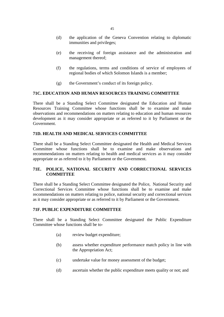- (d) the application of the Geneva Convention relating to diplomatic immunities and privileges;
- (e) the receiving of foreign assistance and the administration and management thereof;
- (f) the regulations, terms and conditions of service of employees of regional bodies of which Solomon Islands is a member;
- (g) the Government's conduct of its foreign policy.

# **71C. EDUCATION AND HUMAN RESOURCES TRAINING COMMITTEE**

There shall be a Standing Select Committee designated the Education and Human Resources Training Committee whose functions shall be to examine and make observations and recommendations on matters relating to education and human resources development as it may consider appropriate or as referred to it by Parliament or the Government.

# **71D. HEALTH AND MEDICAL SERVICES COMMITTEE**

There shall be a Standing Select Committee designated the Health and Medical Services Committee whose functions shall be to examine and make observations and recommendations on matters relating to health and medical services as it may consider appropriate or as referred to it by Parliament or the Government.

# **71E. POLICE, NATIONAL SECURITY AND CORRECTIONAL SERVICES COMMITTEE**

There shall be a Standing Select Committee designated the Police, National Security and Correctional Services Committee whose functions shall be to examine and make recommendations on matters relating to police, national security and correctional services as it may consider appropriate or as referred to it by Parliament or the Government.

# **71F. PUBLIC EXPENDITURE COMMITTEE**

There shall be a Standing Select Committee designated the Public Expenditure Committee whose functions shall be to-

- (a) review budget expenditure;
- (b) assess whether expenditure performance match policy in line with the Appropriation Act;
- (c) undertake value for money assessment of the budget;
- (d) ascertain whether the public expenditure meets quality or not; and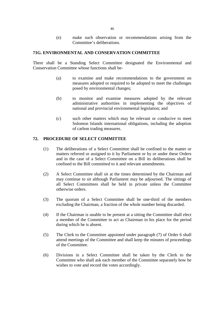(e) make such observation or recommendations arising from the Committee's deliberations.

#### **71G. ENVIRONMENTAL AND CONSERVATION COMMITTEE**

There shall be a Standing Select Committee designated the Environmental and Conservation Committee whose functions shall be-

- (a) to examine and make recommendations to the government on measures adopted or required to be adopted to meet the challenges posed by environmental changes;
- (b) to monitor and examine measures adopted by the relevant administrative authorities in implementing the objectives of national and provincial environmental legislation; and
- (c) such other matters which may be relevant or conducive to meet Solomon Islands international obligations, including the adoption of carbon trading measures.

# **72. PROCEDURE OF SELECT COMMITTEE**

- (1) The deliberations of a Select Committee shall be confined to the matter or matters referred or assigned to it by Parliament or by or under these Orders and in the case of a Select Committee on a Bill its deliberations shall be confined to the Bill committed to it and relevant amendments.
- (2) A Select Committee shall sit at the times determined by the Chairman and may continue to sit although Parliament may be adjourned. The sittings of all Select Committees shall be held in private unless the Committee otherwise orders.
- (3) The quorum of a Select Committee shall be one-third of the members excluding the Chairman, a fraction of the whole number being discarded.
- (4) If the Chairman is unable to be present at a sitting the Committee shall elect a member of the Committee to act as Chairman in his place for the period during which he is absent.
- (5) The Clerk to the Committee appointed under paragraph (7) of Order 6 shall attend meetings of the Committee and shall keep the minutes of proceedings of the Committee.
- (6) Divisions in a Select Committee shall be taken by the Clerk to the Committee who shall ask each member of the Committee separately how he wishes to vote and record the votes accordingly.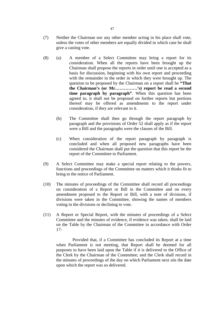- (7) Neither the Chairman nor any other member acting in his place shall vote, unless the votes of other members are equally divided in which case he shall give a casting vote.
- (8) (a) A member of a Select Committee may bring a report for its consideration. When all the reports have been brought up the Chairman shall propose the reports in order until one is accepted as a basis for discussion, beginning with his own report and proceeding with the remainder in the order in which they were brought up. The question to be proposed by the Chairman on a report shall be **"That the Chairman's (or Mr……………'s) report be read a second time paragraph by paragraph"**. When this question has been agreed to, it shall not be proposed on further reports but portions thereof may be offered as amendments to the report under consideration, if they are relevant to it.
	- (b) The Committee shall then go through the report paragraph by paragraph and the provisions of Order 52 shall apply as if the report were a Bill and the paragraphs were the clauses of the Bill.
	- (c) When consideration of the report paragraph by paragraph is concluded and when all proposed new paragraphs have been considered the Chairman shall put the question that this report be the report of the Committee to Parliament.
- (9) A Select Committee may make a special report relating to the powers, functions and proceedings of the Committee on matters which it thinks fit to bring to the notice of Parliament.
- (10) The minutes of proceedings of the Committee shall record all proceedings on consideration of a Report or Bill in the Committee and on every amendment proposed to the Report or Bill, with a note of divisions, if divisions were taken in the Committee, showing the names of members voting in the divisions or declining to vote.
- (11) A Report or Special Report, with the minutes of proceedings of a Select Committee and the minutes of evidence, if evidence was taken, shall be laid on the Table by the Chairman of the Committee in accordance with Order 17-

 Provided that, if a Committee has concluded its Report at a time when Parliament is not meeting, that Report shall be deemed for all purposes to have been laid upon the Table if it is delivered to the Office of the Clerk by the Chairman of the Committee; and the Clerk shall record in the minutes of proceedings of the day on which Parliament next sits the date upon which the report was so delivered.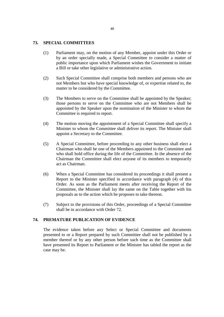#### **73. SPECIAL COMMITTEES**

- (1) Parliament may, on the motion of any Member, appoint under this Order or by an order specially made, a Special Committee to consider a matter of public importance upon which Parliament wishes the Government to initiate a Bill or take other legislative or administrative action.
- (2) Such Special Committee shall comprise both members and persons who are not Members but who have special knowledge of, or expertise related to, the matter to be considered by the Committee.
- (3) The Members to serve on the Committee shall be appointed by the Speaker; those persons to serve on the Committee who are not Members shall be appointed by the Speaker upon the nomination of the Minister to whom the Committee is required to report.
- (4) The motion moving the appointment of a Special Committee shall specify a Minister to whom the Committee shall deliver its report. The Minister shall appoint a Secretary to the Committee.
- (5) A Special Committee, before proceeding to any other business shall elect a Chairman who shall be one of the Members appointed to the Committee and who shall hold office during the life of the Committee. In the absence of the Chairman the Committee shall elect anyone of its members to temporarily act as Chairman.
- (6) When a Special Committee has considered its proceedings it shall present a Report to the Minister specified in accordance with paragraph (4) of this Order. As soon as the Parliament meets after receiving the Report of the Committee, the Minister shall lay the same on the Table together with his proposals as to the action which he proposes to take thereon.
- (7) Subject to the provisions of this Order, proceedings of a Special Committee shall be in accordance with Order 72.

#### **74. PREMATURE PUBLICATION OF EVIDENCE**

The evidence taken before any Select or Special Committee and documents presented to or a Report prepared by such Committee shall not be published by a member thereof or by any other person before such time as the Committee shall have presented its Report to Parliament or the Minister has tabled the report as the case may be.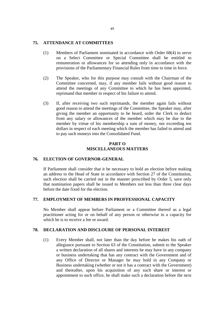#### **75. ATTENDANCE AT COMMITTEES**

- (1) Members of Parliament nominated in accordance with Order 68(4) to serve on a Select Committee or Special Committee shall be entitled to remuneration or allowances for so attending only in accordance with the provisions of the Parliamentary Financial Rules from time to time in force.
- (2) The Speaker, who for this purpose may consult with the Chairman of the Committee concerned, may, if any member fails without good reason to attend the meetings of any Committee to which he has been appointed, reprimand that member in respect of his failure to attend.
- (3) If, after receiving two such reprimands, the member again fails without good reason to attend the meetings of the Committee, the Speaker may, after giving the member an opportunity to be heard, order the Clerk to deduct from any salary or allowances of the member which may be due to the member by virtue of his membership a sum of money, not exceeding ten dollars in respect of each meeting which the member has failed to attend and to pay such moneys into the Consolidated Fund.

# **PART O MISCELLANEOUS MATTERS**

#### **76. ELECTION OF GOVERNOR-GENERAL**

If Parliament shall consider that it be necessary to hold an election before making an address to the Head of State in accordance with Section 27 of the Constitution, such election shall be carried out in the manner prescribed by Order 5, save only that nomination papers shall be issued to Members not less than three clear days before the date fixed for the election.

#### **77. EMPLOYMENT OF MEMBERS IN PROFFESSIONAL CAPACITY**

No Member shall appear before Parliament or a Committee thereof as a legal practitioner acting for or on behalf of any person or otherwise in a capacity for which he is to receive a fee or award.

# **78. DECLARATION AND DISCLOURE OF PERSONAL INTEREST**

(1) Every Member shall, not later than the day before he makes his oath of allegiance pursuant to Section 63 of the Constitution, submit to the Speaker a written declaration of all shares and interests he may have in any company or business undertaking that has any contract with the Government and of any Office of Director or Manager he may hold in any Company or Business undertaking (whether or not it has a contract with the Government) and thereafter, upon his acquisition of any such share or interest or appointment to such office, he shall make such a declaration before the next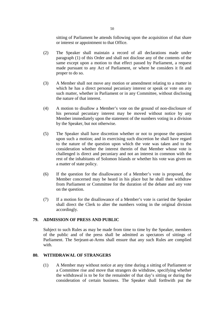sitting of Parliament he attends following upon the acquisition of that share or interest or appointment to that Office.

- (2) The Speaker shall maintain a record of all declarations made under paragraph (1) of this Order and shall not disclose any of the contents of the same except upon a motion to that effect passed by Parliament, a request made pursuant to any Act of Parliament, or where he considers it fit and proper to do so.
- (3) A Member shall not move any motion or amendment relating to a matter in which he has a direct personal pecuniary interest or speak or vote on any such matter, whether in Parliament or in any Committee, without disclosing the nature of that interest.
- (4) A motion to disallow a Member's vote on the ground of non-disclosure of his personal pecuniary interest may be moved without notice by any Member immediately upon the statement of the numbers voting in a division by the Speaker, but not otherwise.
- (5) The Speaker shall have discretion whether or not to propose the question upon such a motion; and in exercising such discretion he shall have regard to the nature of the question upon which the vote was taken and to the consideration whether the interest therein of that Member whose vote is challenged is direct and pecuniary and not an interest in common with the rest of the inhabitants of Solomon Islands or whether his vote was given on a matter of state policy.
- (6) If the question for the disallowance of a Member's vote is proposed, the Member concerned may be heard in his place but he shall then withdraw from Parliament or Committee for the duration of the debate and any vote on the question.
- (7) If a motion for the disallowance of a Member's vote is carried the Speaker shall direct the Clerk to alter the numbers voting in the original division accordingly.

# **79. ADMISSION OF PRESS AND PUBLIC**

Subject to such Rules as may be made from time to time by the Speaker, members of the public and of the press shall be admitted as spectators of sittings of Parliament. The Serjeant-at-Arms shall ensure that any such Rules are complied with.

# **80. WITHDRAWAL OF STRANGERS**

(1) A Member may without notice at any time during a sitting of Parliament or a Committee rise and move that strangers do withdraw, specifying whether the withdrawal is to be for the remainder of that day's sitting or during the consideration of certain business. The Speaker shall forthwith put the